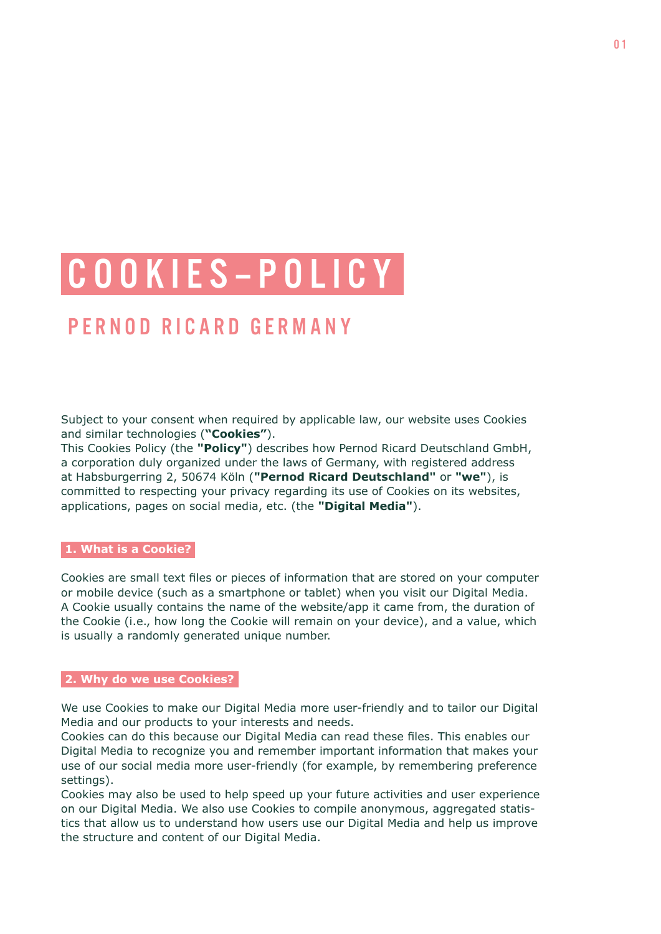# C O O K I E S – P O L I C Y

# PERNOD RICARD GERMANY

Subject to your consent when required by applicable law, our website uses Cookies and similar technologies (**"Cookies"**).

This Cookies Policy (the **"Policy"**) describes how Pernod Ricard Deutschland GmbH, a corporation duly organized under the laws of Germany, with registered address at Habsburgerring 2, 50674 Köln (**"Pernod Ricard Deutschland"** or **"we"**), is committed to respecting your privacy regarding its use of Cookies on its websites, applications, pages on social media, etc. (the **"Digital Media"**).

## **1. What is a Cookie?**

Cookies are small text files or pieces of information that are stored on your computer or mobile device (such as a smartphone or tablet) when you visit our Digital Media. A Cookie usually contains the name of the website/app it came from, the duration of the Cookie (i.e., how long the Cookie will remain on your device), and a value, which is usually a randomly generated unique number.

#### **2. Why do we use Cookies?**

We use Cookies to make our Digital Media more user-friendly and to tailor our Digital Media and our products to your interests and needs.

Cookies can do this because our Digital Media can read these files. This enables our Digital Media to recognize you and remember important information that makes your use of our social media more user-friendly (for example, by remembering preference settings).

Cookies may also be used to help speed up your future activities and user experience on our Digital Media. We also use Cookies to compile anonymous, aggregated statistics that allow us to understand how users use our Digital Media and help us improve the structure and content of our Digital Media.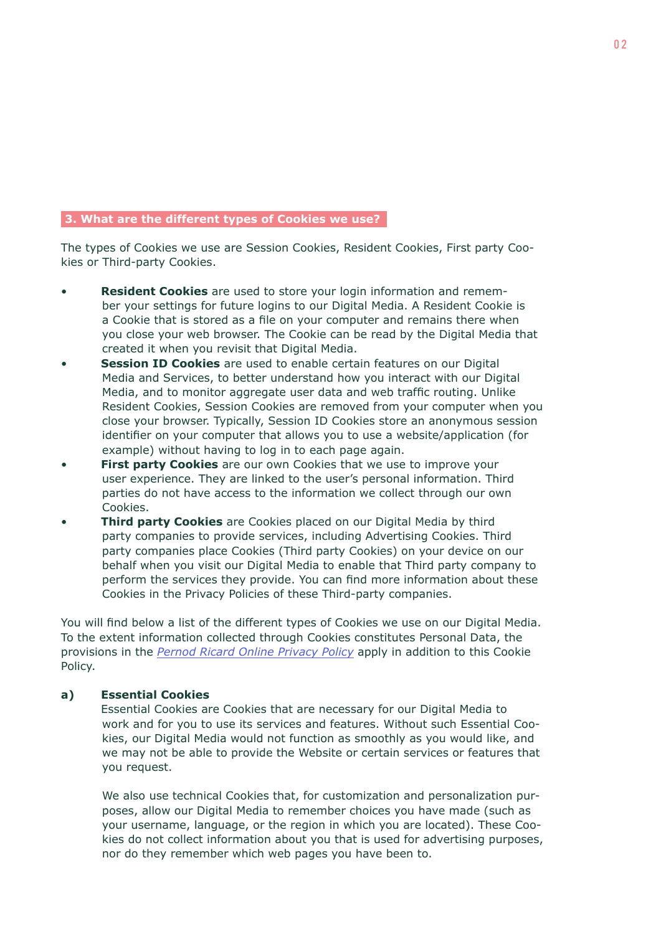#### **3. What are the different types of Cookies we use?**

The types of Cookies we use are Session Cookies, Resident Cookies, First party Cookies or Third-party Cookies.

- **Resident Cookies** are used to store your login information and remember your settings for future logins to our Digital Media. A Resident Cookie is a Cookie that is stored as a file on your computer and remains there when you close your web browser. The Cookie can be read by the Digital Media that created it when you revisit that Digital Media.
- **Session ID Cookies** are used to enable certain features on our Digital Media and Services, to better understand how you interact with our Digital Media, and to monitor aggregate user data and web traffic routing. Unlike Resident Cookies, Session Cookies are removed from your computer when you close your browser. Typically, Session ID Cookies store an anonymous session identifier on your computer that allows you to use a website/application (for example) without having to log in to each page again.
- **First party Cookies** are our own Cookies that we use to improve your user experience. They are linked to the user's personal information. Third parties do not have access to the information we collect through our own Cookies.
- **Third party Cookies** are Cookies placed on our Digital Media by third party companies to provide services, including Advertising Cookies. Third party companies place Cookies (Third party Cookies) on your device on our behalf when you visit our Digital Media to enable that Third party company to perform the services they provide. You can find more information about these Cookies in the Privacy Policies of these Third-party companies.

You will find below a list of the different types of Cookies we use on our Digital Media. To the extent information collected through Cookies constitutes Personal Data, the provisions in the *[Pernod Ricard Online Privacy Policy](https://www.join-sip.com/en/privacy)* apply in addition to this Cookie Policy.

#### **a) Essential Cookies**

Essential Cookies are Cookies that are necessary for our Digital Media to work and for you to use its services and features. Without such Essential Cookies, our Digital Media would not function as smoothly as you would like, and we may not be able to provide the Website or certain services or features that you request.

We also use technical Cookies that, for customization and personalization purposes, allow our Digital Media to remember choices you have made (such as your username, language, or the region in which you are located). These Cookies do not collect information about you that is used for advertising purposes, nor do they remember which web pages you have been to.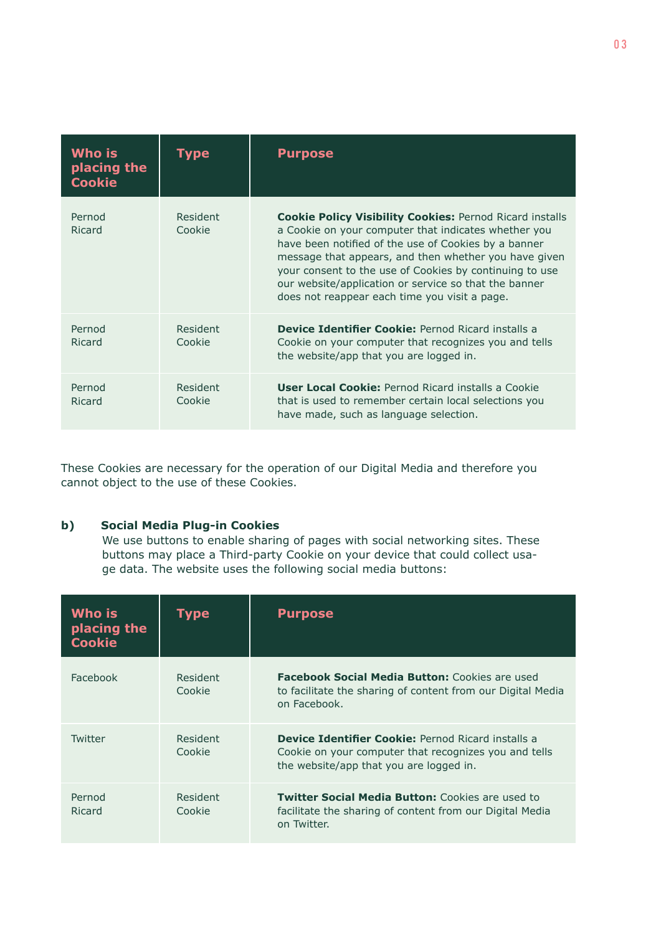| Who is<br>placing the<br><b>Cookie</b> | I v pe             | <b>Purpose</b>                                                                                                                                                                                                                                                                                                                                                                                                |
|----------------------------------------|--------------------|---------------------------------------------------------------------------------------------------------------------------------------------------------------------------------------------------------------------------------------------------------------------------------------------------------------------------------------------------------------------------------------------------------------|
| Pernod<br>Ricard                       | Resident<br>Cookie | <b>Cookie Policy Visibility Cookies: Pernod Ricard installs</b><br>a Cookie on your computer that indicates whether you<br>have been notified of the use of Cookies by a banner<br>message that appears, and then whether you have given<br>your consent to the use of Cookies by continuing to use<br>our website/application or service so that the banner<br>does not reappear each time you visit a page. |
| Pernod<br>Ricard                       | Resident<br>Cookie | <b>Device Identifier Cookie: Pernod Ricard installs a</b><br>Cookie on your computer that recognizes you and tells<br>the website/app that you are logged in.                                                                                                                                                                                                                                                 |
| Pernod<br>Ricard                       | Resident<br>Cookie | <b>User Local Cookie: Pernod Ricard installs a Cookie</b><br>that is used to remember certain local selections you<br>have made, such as language selection.                                                                                                                                                                                                                                                  |

These Cookies are necessary for the operation of our Digital Media and therefore you cannot object to the use of these Cookies.

# **b) Social Media Plug-in Cookies**

We use buttons to enable sharing of pages with social networking sites. These buttons may place a Third-party Cookie on your device that could collect usage data. The website uses the following social media buttons:

| Who is<br>placing the<br><b>Cookie</b> | Type               | <b>Purpose</b>                                                                                                                                                |
|----------------------------------------|--------------------|---------------------------------------------------------------------------------------------------------------------------------------------------------------|
| Facebook                               | Resident<br>Cookie | <b>Facebook Social Media Button: Cookies are used</b><br>to facilitate the sharing of content from our Digital Media<br>on Facebook.                          |
| Twitter                                | Resident<br>Cookie | <b>Device Identifier Cookie: Pernod Ricard installs a</b><br>Cookie on your computer that recognizes you and tells<br>the website/app that you are logged in. |
| Pernod<br>Ricard                       | Resident<br>Cookie | <b>Twitter Social Media Button: Cookies are used to</b><br>facilitate the sharing of content from our Digital Media<br>on Twitter.                            |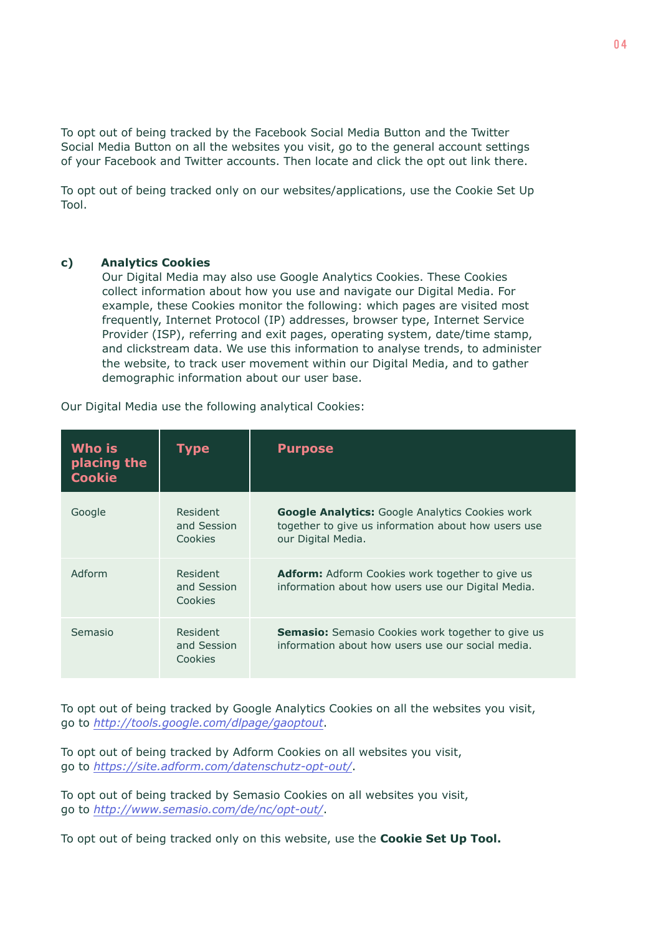To opt out of being tracked by the Facebook Social Media Button and the Twitter Social Media Button on all the websites you visit, go to the general account settings of your Facebook and Twitter accounts. Then locate and click the opt out link there.

To opt out of being tracked only on our websites/applications, use the Cookie Set Up Tool.

#### **c) Analytics Cookies**

Our Digital Media may also use Google Analytics Cookies. These Cookies collect information about how you use and navigate our Digital Media. For example, these Cookies monitor the following: which pages are visited most frequently, Internet Protocol (IP) addresses, browser type, Internet Service Provider (ISP), referring and exit pages, operating system, date/time stamp, and clickstream data. We use this information to analyse trends, to administer the website, to track user movement within our Digital Media, and to gather demographic information about our user base.

| Who is<br>placing the<br><b>Cookie</b> | Type                               | <b>Purpose</b>                                                                                                                      |
|----------------------------------------|------------------------------------|-------------------------------------------------------------------------------------------------------------------------------------|
| Google                                 | Resident<br>and Session<br>Cookies | <b>Google Analytics:</b> Google Analytics Cookies work<br>together to give us information about how users use<br>our Digital Media. |
| Adform                                 | Resident<br>and Session<br>Cookies | <b>Adform:</b> Adform Cookies work together to give us<br>information about how users use our Digital Media.                        |
| Semasio                                | Resident<br>and Session<br>Cookies | <b>Semasio:</b> Semasio Cookies work together to give us<br>information about how users use our social media.                       |

Our Digital Media use the following analytical Cookies:

To opt out of being tracked by Google Analytics Cookies on all the websites you visit, go to *<http://tools.google.com/dlpage/gaoptout>*.

To opt out of being tracked by Adform Cookies on all websites you visit, go to *<https://site.adform.com/datenschutz-opt-out/>*.

To opt out of being tracked by Semasio Cookies on all websites you visit, go to *[http://www.semasio.com/de/nc/opt-out/](https://www.semasio.com/)*.

To opt out of being tracked only on this website, use the **Cookie Set Up Tool.**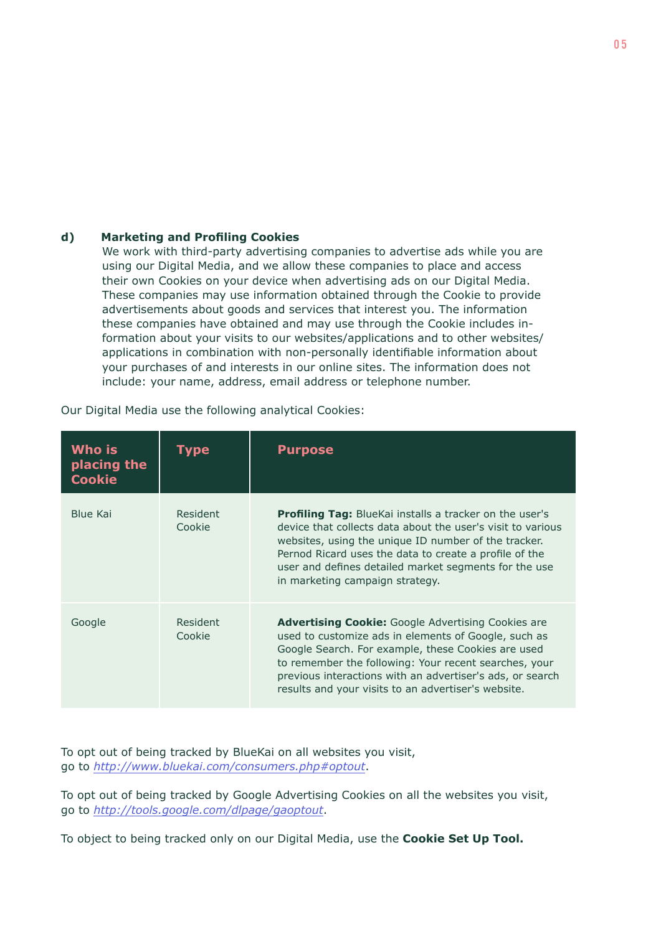## **d) Marketing and Profiling Cookies**

We work with third-party advertising companies to advertise ads while you are using our Digital Media, and we allow these companies to place and access their own Cookies on your device when advertising ads on our Digital Media. These companies may use information obtained through the Cookie to provide advertisements about goods and services that interest you. The information these companies have obtained and may use through the Cookie includes information about your visits to our websites/applications and to other websites/ applications in combination with non-personally identifiable information about your purchases of and interests in our online sites. The information does not include: your name, address, email address or telephone number.

| Who is<br>placing the<br><b>Cookie</b> | Type               | <b>Purpose</b>                                                                                                                                                                                                                                                                                                                                       |
|----------------------------------------|--------------------|------------------------------------------------------------------------------------------------------------------------------------------------------------------------------------------------------------------------------------------------------------------------------------------------------------------------------------------------------|
| Blue Kai                               | Resident<br>Cookie | <b>Profiling Tag:</b> BlueKai installs a tracker on the user's<br>device that collects data about the user's visit to various<br>websites, using the unique ID number of the tracker.<br>Pernod Ricard uses the data to create a profile of the<br>user and defines detailed market segments for the use<br>in marketing campaign strategy.          |
| Google                                 | Resident<br>Cookie | <b>Advertising Cookie:</b> Google Advertising Cookies are<br>used to customize ads in elements of Google, such as<br>Google Search. For example, these Cookies are used<br>to remember the following: Your recent searches, your<br>previous interactions with an advertiser's ads, or search<br>results and your visits to an advertiser's website. |

Our Digital Media use the following analytical Cookies:

To opt out of being tracked by BlueKai on all websites you visit, go to *<http://www.bluekai.com/consumers.php#optout>*.

To opt out of being tracked by Google Advertising Cookies on all the websites you visit, go to *<http://tools.google.com/dlpage/gaoptout>*.

To object to being tracked only on our Digital Media, use the **Cookie Set Up Tool.**